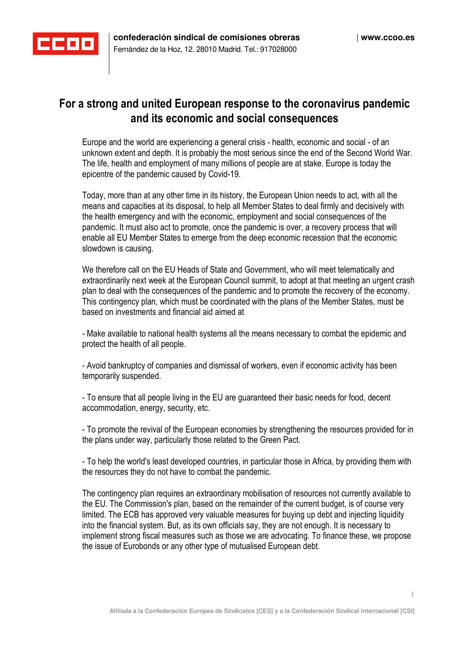

## **For a strong and united European response to the coronavirus pandemic and its economic and social consequences**

Europe and the world are experiencing a general crisis - health, economic and social - of an unknown extent and depth. It is probably the most serious since the end of the Second World War. The life, health and employment of many millions of people are at stake. Europe is today the epicentre of the pandemic caused by Covid-19.

Today, more than at any other time in its history, the European Union needs to act, with all the means and capacities at its disposal, to help all Member States to deal firmly and decisively with the health emergency and with the economic, employment and social consequences of the pandemic. It must also act to promote, once the pandemic is over, a recovery process that will enable all EU Member States to emerge from the deep economic recession that the economic slowdown is causing.

We therefore call on the EU Heads of State and Government, who will meet telematically and extraordinarily next week at the European Council summit, to adopt at that meeting an urgent crash plan to deal with the consequences of the pandemic and to promote the recovery of the economy. This contingency plan, which must be coordinated with the plans of the Member States, must be based on investments and financial aid aimed at

- Make available to national health systems all the means necessary to combat the epidemic and protect the health of all people.

- Avoid bankruptcy of companies and dismissal of workers, even if economic activity has been temporarily suspended.

- To ensure that all people living in the EU are guaranteed their basic needs for food, decent accommodation, energy, security, etc.

- To promote the revival of the European economies by strengthening the resources provided for in the plans under way, particularly those related to the Green Pact.

- To help the world's least developed countries, in particular those in Africa, by providing them with the resources they do not have to combat the pandemic.

The contingency plan requires an extraordinary mobilisation of resources not currently available to the EU. The Commission's plan, based on the remainder of the current budget, is of course very limited. The ECB has approved very valuable measures for buying up debt and injecting liquidity into the financial system. But, as its own officials say, they are not enough. It is necessary to implement strong fiscal measures such as those we are advocating. To finance these, we propose the issue of Eurobonds or any other type of mutualised European debt.